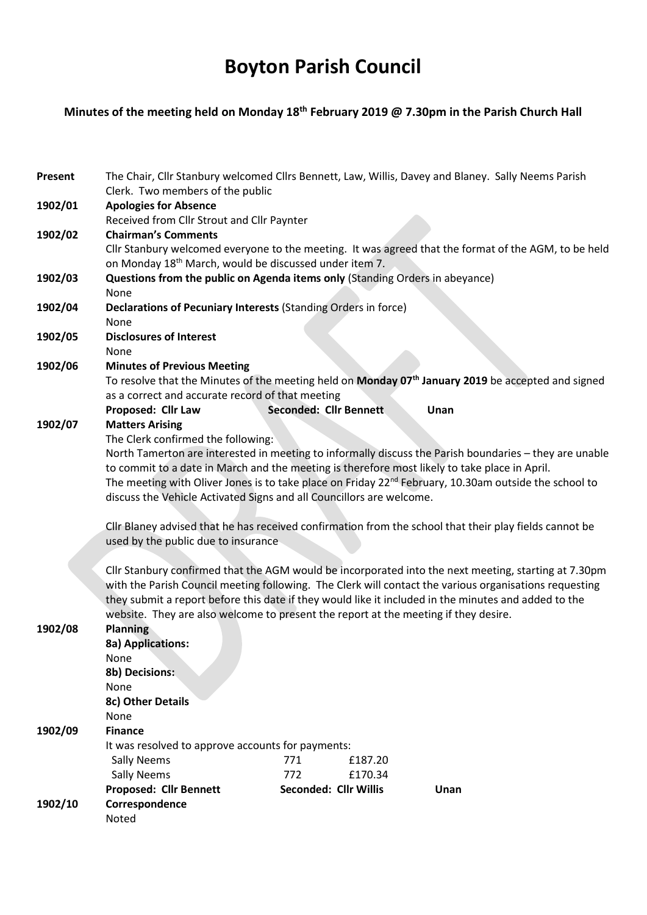## Boyton Parish Council

## Minutes of the meeting held on Monday 18<sup>th</sup> February 2019 @ 7.30pm in the Parish Church Hall

| Present                    | The Chair, Cllr Stanbury welcomed Cllrs Bennett, Law, Willis, Davey and Blaney. Sally Neems Parish<br>Clerk. Two members of the public                                                                                                                                                                                                                                                                                                                                                                                                                                                      |                               |         |      |  |
|----------------------------|---------------------------------------------------------------------------------------------------------------------------------------------------------------------------------------------------------------------------------------------------------------------------------------------------------------------------------------------------------------------------------------------------------------------------------------------------------------------------------------------------------------------------------------------------------------------------------------------|-------------------------------|---------|------|--|
| 1902/01                    | <b>Apologies for Absence</b>                                                                                                                                                                                                                                                                                                                                                                                                                                                                                                                                                                |                               |         |      |  |
|                            | Received from Cllr Strout and Cllr Paynter                                                                                                                                                                                                                                                                                                                                                                                                                                                                                                                                                  |                               |         |      |  |
| 1902/02                    | <b>Chairman's Comments</b>                                                                                                                                                                                                                                                                                                                                                                                                                                                                                                                                                                  |                               |         |      |  |
|                            | Cllr Stanbury welcomed everyone to the meeting. It was agreed that the format of the AGM, to be held                                                                                                                                                                                                                                                                                                                                                                                                                                                                                        |                               |         |      |  |
|                            | on Monday 18 <sup>th</sup> March, would be discussed under item 7.                                                                                                                                                                                                                                                                                                                                                                                                                                                                                                                          |                               |         |      |  |
| 1902/03                    | Questions from the public on Agenda items only (Standing Orders in abeyance)<br>None                                                                                                                                                                                                                                                                                                                                                                                                                                                                                                        |                               |         |      |  |
|                            |                                                                                                                                                                                                                                                                                                                                                                                                                                                                                                                                                                                             |                               |         |      |  |
| 1902/04                    | Declarations of Pecuniary Interests (Standing Orders in force)<br>None                                                                                                                                                                                                                                                                                                                                                                                                                                                                                                                      |                               |         |      |  |
|                            |                                                                                                                                                                                                                                                                                                                                                                                                                                                                                                                                                                                             |                               |         |      |  |
| 1902/05                    | <b>Disclosures of Interest</b>                                                                                                                                                                                                                                                                                                                                                                                                                                                                                                                                                              |                               |         |      |  |
|                            | None                                                                                                                                                                                                                                                                                                                                                                                                                                                                                                                                                                                        |                               |         |      |  |
| 1902/06                    | <b>Minutes of Previous Meeting</b>                                                                                                                                                                                                                                                                                                                                                                                                                                                                                                                                                          |                               |         |      |  |
|                            | To resolve that the Minutes of the meeting held on Monday 07 <sup>th</sup> January 2019 be accepted and signed                                                                                                                                                                                                                                                                                                                                                                                                                                                                              |                               |         |      |  |
|                            | as a correct and accurate record of that meeting                                                                                                                                                                                                                                                                                                                                                                                                                                                                                                                                            |                               |         |      |  |
|                            | Proposed: Cllr Law                                                                                                                                                                                                                                                                                                                                                                                                                                                                                                                                                                          | <b>Seconded: Cllr Bennett</b> |         | Unan |  |
| 1902/07                    | <b>Matters Arising</b>                                                                                                                                                                                                                                                                                                                                                                                                                                                                                                                                                                      |                               |         |      |  |
|                            | The Clerk confirmed the following:<br>North Tamerton are interested in meeting to informally discuss the Parish boundaries - they are unable<br>to commit to a date in March and the meeting is therefore most likely to take place in April.<br>The meeting with Oliver Jones is to take place on Friday 22 <sup>nd</sup> February, 10.30am outside the school to<br>discuss the Vehicle Activated Signs and all Councillors are welcome.<br>Cllr Blaney advised that he has received confirmation from the school that their play fields cannot be<br>used by the public due to insurance |                               |         |      |  |
|                            |                                                                                                                                                                                                                                                                                                                                                                                                                                                                                                                                                                                             |                               |         |      |  |
|                            |                                                                                                                                                                                                                                                                                                                                                                                                                                                                                                                                                                                             |                               |         |      |  |
|                            |                                                                                                                                                                                                                                                                                                                                                                                                                                                                                                                                                                                             |                               |         |      |  |
|                            |                                                                                                                                                                                                                                                                                                                                                                                                                                                                                                                                                                                             |                               |         |      |  |
|                            |                                                                                                                                                                                                                                                                                                                                                                                                                                                                                                                                                                                             |                               |         |      |  |
|                            |                                                                                                                                                                                                                                                                                                                                                                                                                                                                                                                                                                                             |                               |         |      |  |
|                            |                                                                                                                                                                                                                                                                                                                                                                                                                                                                                                                                                                                             |                               |         |      |  |
|                            | Cllr Stanbury confirmed that the AGM would be incorporated into the next meeting, starting at 7.30pm<br>with the Parish Council meeting following. The Clerk will contact the various organisations requesting                                                                                                                                                                                                                                                                                                                                                                              |                               |         |      |  |
|                            |                                                                                                                                                                                                                                                                                                                                                                                                                                                                                                                                                                                             |                               |         |      |  |
|                            | they submit a report before this date if they would like it included in the minutes and added to the                                                                                                                                                                                                                                                                                                                                                                                                                                                                                        |                               |         |      |  |
|                            | website. They are also welcome to present the report at the meeting if they desire.                                                                                                                                                                                                                                                                                                                                                                                                                                                                                                         |                               |         |      |  |
| <b>Planning</b><br>1902/08 |                                                                                                                                                                                                                                                                                                                                                                                                                                                                                                                                                                                             |                               |         |      |  |
|                            | 8a) Applications:                                                                                                                                                                                                                                                                                                                                                                                                                                                                                                                                                                           |                               |         |      |  |
|                            | None                                                                                                                                                                                                                                                                                                                                                                                                                                                                                                                                                                                        |                               |         |      |  |
|                            | 8b) Decisions:                                                                                                                                                                                                                                                                                                                                                                                                                                                                                                                                                                              |                               |         |      |  |
|                            | None                                                                                                                                                                                                                                                                                                                                                                                                                                                                                                                                                                                        |                               |         |      |  |
|                            | 8c) Other Details                                                                                                                                                                                                                                                                                                                                                                                                                                                                                                                                                                           |                               |         |      |  |
|                            | None                                                                                                                                                                                                                                                                                                                                                                                                                                                                                                                                                                                        |                               |         |      |  |
| 1902/09                    | <b>Finance</b>                                                                                                                                                                                                                                                                                                                                                                                                                                                                                                                                                                              |                               |         |      |  |
|                            | It was resolved to approve accounts for payments:                                                                                                                                                                                                                                                                                                                                                                                                                                                                                                                                           |                               |         |      |  |
|                            | Sally Neems                                                                                                                                                                                                                                                                                                                                                                                                                                                                                                                                                                                 | 771                           | £187.20 |      |  |
|                            | <b>Sally Neems</b>                                                                                                                                                                                                                                                                                                                                                                                                                                                                                                                                                                          | 772                           | £170.34 |      |  |
|                            | <b>Proposed: Cllr Bennett</b>                                                                                                                                                                                                                                                                                                                                                                                                                                                                                                                                                               | Seconded: Cllr Willis         |         | Unan |  |
| 1902/10                    | Correspondence                                                                                                                                                                                                                                                                                                                                                                                                                                                                                                                                                                              |                               |         |      |  |
|                            | Noted                                                                                                                                                                                                                                                                                                                                                                                                                                                                                                                                                                                       |                               |         |      |  |